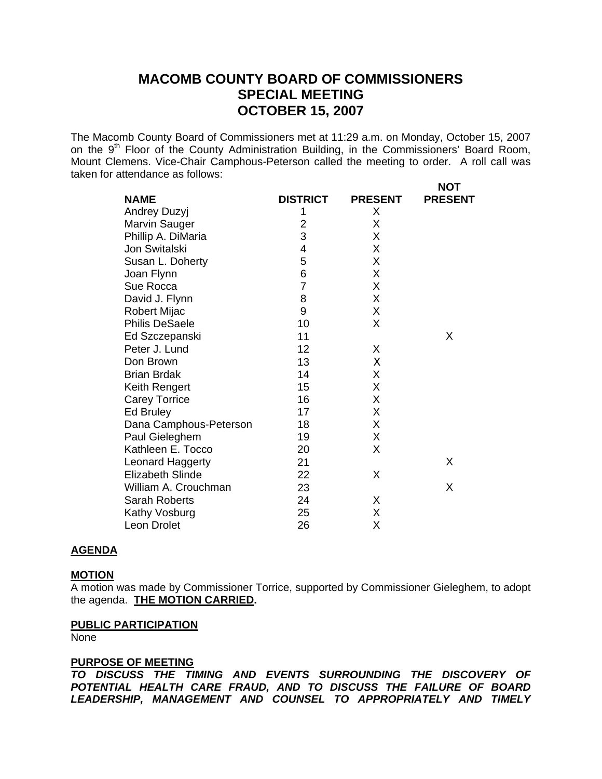# **MACOMB COUNTY BOARD OF COMMISSIONERS SPECIAL MEETING OCTOBER 15, 2007**

The Macomb County Board of Commissioners met at 11:29 a.m. on Monday, October 15, 2007 on the 9<sup>th</sup> Floor of the County Administration Building, in the Commissioners' Board Room, Mount Clemens. Vice-Chair Camphous-Peterson called the meeting to order. A roll call was taken for attendance as follows: **NOT** 

| <b>NAME</b>             | <b>DISTRICT</b> | <b>PRESENT</b> | י שיו<br><b>PRESENT</b> |
|-------------------------|-----------------|----------------|-------------------------|
| Andrey Duzyj            | 1               | X              |                         |
| Marvin Sauger           | $\overline{2}$  | X              |                         |
| Phillip A. DiMaria      | 3               | X              |                         |
| Jon Switalski           | 4               | X              |                         |
| Susan L. Doherty        | 5               | X              |                         |
| Joan Flynn              | 6               | Χ              |                         |
| Sue Rocca               | $\overline{7}$  | X              |                         |
| David J. Flynn          | 8               | X              |                         |
| <b>Robert Mijac</b>     | 9               | X              |                         |
| <b>Philis DeSaele</b>   | 10              | X              |                         |
| Ed Szczepanski          | 11              |                | X                       |
| Peter J. Lund           | 12              | X              |                         |
| Don Brown               | 13              | Χ              |                         |
| <b>Brian Brdak</b>      | 14              | Χ              |                         |
| Keith Rengert           | 15              | X              |                         |
| <b>Carey Torrice</b>    | 16              | Χ              |                         |
| Ed Bruley               | 17              | Χ              |                         |
| Dana Camphous-Peterson  | 18              | X              |                         |
| Paul Gieleghem          | 19              | Χ              |                         |
| Kathleen E. Tocco       | 20              | X              |                         |
| Leonard Haggerty        | 21              |                | X                       |
| <b>Elizabeth Slinde</b> | 22              | Χ              |                         |
| William A. Crouchman    | 23              |                | X                       |
| <b>Sarah Roberts</b>    | 24              | Χ              |                         |
| Kathy Vosburg           | 25              | Χ              |                         |
| Leon Drolet             | 26              | Χ              |                         |

#### **AGENDA**

# **MOTION**

A motion was made by Commissioner Torrice, supported by Commissioner Gieleghem, to adopt the agenda. **THE MOTION CARRIED.** 

#### **PUBLIC PARTICIPATION**

None

# **PURPOSE OF MEETING**

*TO DISCUSS THE TIMING AND EVENTS SURROUNDING THE DISCOVERY OF POTENTIAL HEALTH CARE FRAUD, AND TO DISCUSS THE FAILURE OF BOARD LEADERSHIP, MANAGEMENT AND COUNSEL TO APPROPRIATELY AND TIMELY*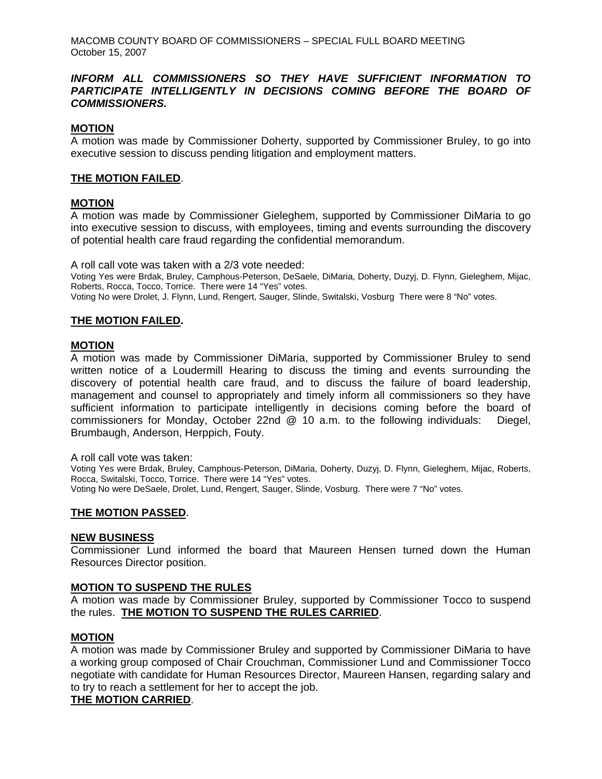MACOMB COUNTY BOARD OF COMMISSIONERS – SPECIAL FULL BOARD MEETING October 15, 2007

# *INFORM ALL COMMISSIONERS SO THEY HAVE SUFFICIENT INFORMATION TO*  PARTICIPATE INTELLIGENTLY IN DECISIONS COMING BEFORE THE BOARD OF *COMMISSIONERS.*

# **MOTION**

A motion was made by Commissioner Doherty, supported by Commissioner Bruley, to go into executive session to discuss pending litigation and employment matters.

# **THE MOTION FAILED**.

# **MOTION**

A motion was made by Commissioner Gieleghem, supported by Commissioner DiMaria to go into executive session to discuss, with employees, timing and events surrounding the discovery of potential health care fraud regarding the confidential memorandum.

A roll call vote was taken with a 2/3 vote needed:

Voting Yes were Brdak, Bruley, Camphous-Peterson, DeSaele, DiMaria, Doherty, Duzyj, D. Flynn, Gieleghem, Mijac, Roberts, Rocca, Tocco, Torrice. There were 14 "Yes" votes.

Voting No were Drolet, J. Flynn, Lund, Rengert, Sauger, Slinde, Switalski, Vosburg There were 8 "No" votes.

# **THE MOTION FAILED.**

# **MOTION**

A motion was made by Commissioner DiMaria, supported by Commissioner Bruley to send written notice of a Loudermill Hearing to discuss the timing and events surrounding the discovery of potential health care fraud, and to discuss the failure of board leadership, management and counsel to appropriately and timely inform all commissioners so they have sufficient information to participate intelligently in decisions coming before the board of commissioners for Monday, October 22nd @ 10 a.m. to the following individuals: Diegel, Brumbaugh, Anderson, Herppich, Fouty.

A roll call vote was taken:

Voting Yes were Brdak, Bruley, Camphous-Peterson, DiMaria, Doherty, Duzyj, D. Flynn, Gieleghem, Mijac, Roberts, Rocca, Switalski, Tocco, Torrice. There were 14 "Yes" votes. Voting No were DeSaele, Drolet, Lund, Rengert, Sauger, Slinde, Vosburg. There were 7 "No" votes.

#### **THE MOTION PASSED**.

#### **NEW BUSINESS**

Commissioner Lund informed the board that Maureen Hensen turned down the Human Resources Director position.

# **MOTION TO SUSPEND THE RULES**

A motion was made by Commissioner Bruley, supported by Commissioner Tocco to suspend the rules. **THE MOTION TO SUSPEND THE RULES CARRIED**.

# **MOTION**

A motion was made by Commissioner Bruley and supported by Commissioner DiMaria to have a working group composed of Chair Crouchman, Commissioner Lund and Commissioner Tocco negotiate with candidate for Human Resources Director, Maureen Hansen, regarding salary and to try to reach a settlement for her to accept the job.

#### **THE MOTION CARRIED**.